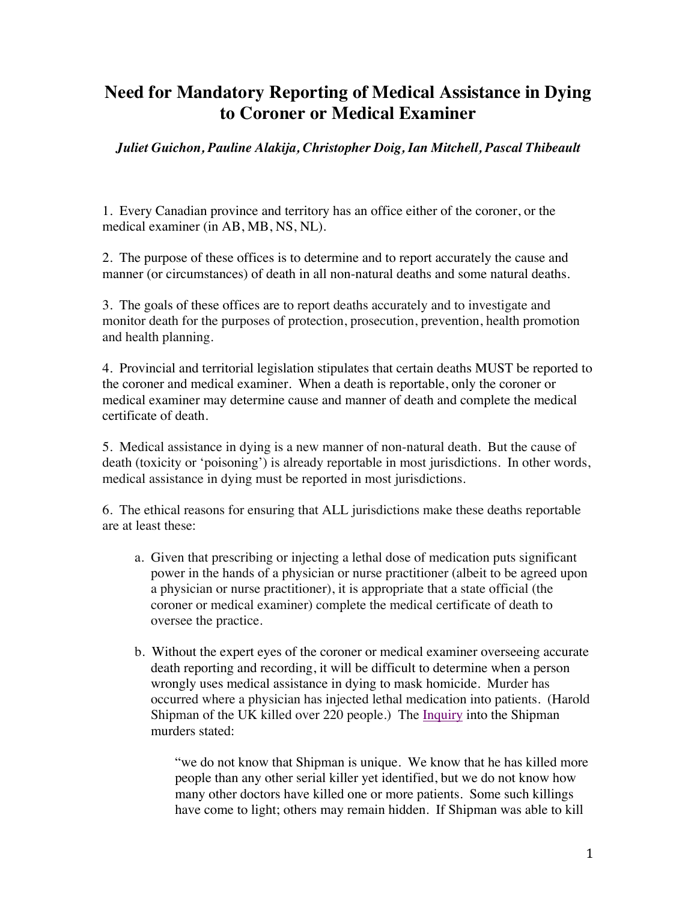## **Need for Mandatory Reporting of Medical Assistance in Dying to Coroner or Medical Examiner**

*Juliet Guichon, Pauline Alakija, Christopher Doig, Ian Mitchell, Pascal Thibeault*

1. Every Canadian province and territory has an office either of the coroner, or the medical examiner (in AB, MB, NS, NL).

2. The purpose of these offices is to determine and to report accurately the cause and manner (or circumstances) of death in all non-natural deaths and some natural deaths.

3. The goals of these offices are to report deaths accurately and to investigate and monitor death for the purposes of protection, prosecution, prevention, health promotion and health planning.

4. Provincial and territorial legislation stipulates that certain deaths MUST be reported to the coroner and medical examiner. When a death is reportable, only the coroner or medical examiner may determine cause and manner of death and complete the medical certificate of death.

5. Medical assistance in dying is a new manner of non-natural death. But the cause of death (toxicity or 'poisoning') is already reportable in most jurisdictions. In other words, medical assistance in dying must be reported in most jurisdictions.

6. The ethical reasons for ensuring that ALL jurisdictions make these deaths reportable are at least these:

- a. Given that prescribing or injecting a lethal dose of medication puts significant power in the hands of a physician or nurse practitioner (albeit to be agreed upon a physician or nurse practitioner), it is appropriate that a state official (the coroner or medical examiner) complete the medical certificate of death to oversee the practice.
- b. Without the expert eyes of the coroner or medical examiner overseeing accurate death reporting and recording, it will be difficult to determine when a person wrongly uses medical assistance in dying to mask homicide. Murder has occurred where a physician has injected lethal medication into patients. (Harold Shipman of the UK killed over 220 people.) The Inquiry into the Shipman murders stated:

"we do not know that Shipman is unique. We know that he has killed more people than any other serial killer yet identified, but we do not know how many other doctors have killed one or more patients. Some such killings have come to light; others may remain hidden. If Shipman was able to kill